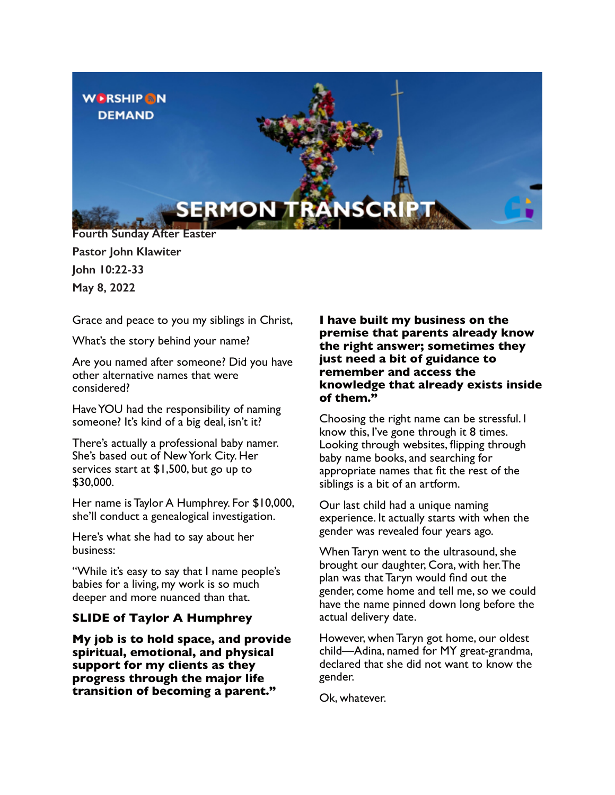

**Pastor John Klawiter John 10:22-33 May 8, 2022**

Grace and peace to you my siblings in Christ,

What's the story behind your name?

Are you named after someone? Did you have other alternative names that were considered?

Have YOU had the responsibility of naming someone? It's kind of a big deal, isn't it?

There's actually a professional baby namer. She's based out of New York City. Her services start at \$1,500, but go up to \$30,000.

Her name is Taylor A Humphrey. For \$10,000, she'll conduct a genealogical investigation.

Here's what she had to say about her business:

"While it's easy to say that I name people's babies for a living, my work is so much deeper and more nuanced than that.

### **SLIDE of Taylor A Humphrey**

**My job is to hold space, and provide spiritual, emotional, and physical support for my clients as they progress through the major life transition of becoming a parent."**

**I have built my business on the premise that parents already know the right answer; sometimes they just need a bit of guidance to remember and access the knowledge that already exists inside of them."**

Choosing the right name can be stressful. I know this, I've gone through it 8 times. Looking through websites, flipping through baby name books, and searching for appropriate names that fit the rest of the siblings is a bit of an artform.

Our last child had a unique naming experience. It actually starts with when the gender was revealed four years ago.

When Taryn went to the ultrasound, she brought our daughter, Cora, with her.The plan was that Taryn would find out the gender, come home and tell me, so we could have the name pinned down long before the actual delivery date.

However, when Taryn got home, our oldest child—Adina, named for MY great-grandma, declared that she did not want to know the gender.

Ok, whatever.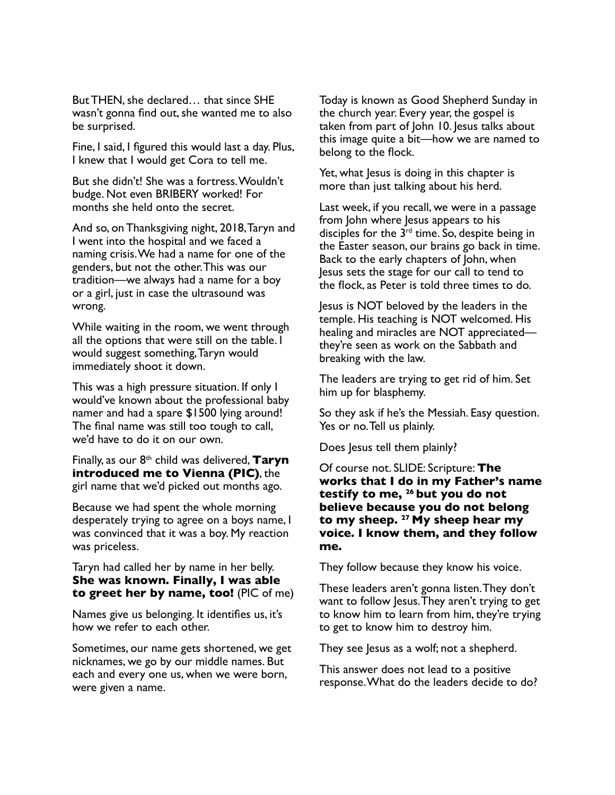But THEN, she declared… that since SHE wasn't gonna find out, she wanted me to also be surprised.

Fine, I said, I figured this would last a day. Plus, I knew that I would get Cora to tell me.

But she didn't! She was a fortress.Wouldn't budge. Not even BRIBERY worked! For months she held onto the secret.

And so, on Thanksgiving night, 2018,Taryn and I went into the hospital and we faced a naming crisis.We had a name for one of the genders, but not the other.This was our tradition—we always had a name for a boy or a girl, just in case the ultrasound was wrong.

While waiting in the room, we went through all the options that were still on the table. I would suggest something,Taryn would immediately shoot it down.

This was a high pressure situation. If only I would've known about the professional baby namer and had a spare \$1500 lying around! The final name was still too tough to call, we'd have to do it on our own.

Finally, as our 8th child was delivered, **Taryn introduced me to Vienna (PIC)**, the girl name that we'd picked out months ago.

Because we had spent the whole morning desperately trying to agree on a boys name, I was convinced that it was a boy. My reaction was priceless.

### Taryn had called her by name in her belly. **She was known. Finally, I was able to greet her by name, too!** (PIC of me)

Names give us belonging. It identifies us, it's how we refer to each other.

Sometimes, our name gets shortened, we get nicknames, we go by our middle names. But each and every one us, when we were born, were given a name.

Today is known as Good Shepherd Sunday in the church year. Every year, the gospel is taken from part of John 10. Jesus talks about this image quite a bit—how we are named to belong to the flock.

Yet, what Jesus is doing in this chapter is more than just talking about his herd.

Last week, if you recall, we were in a passage from John where Jesus appears to his disciples for the  $3<sup>rd</sup>$  time. So, despite being in the Easter season, our brains go back in time. Back to the early chapters of John, when Jesus sets the stage for our call to tend to the flock, as Peter is told three times to do.

Jesus is NOT beloved by the leaders in the temple. His teaching is NOT welcomed. His healing and miracles are NOT appreciated they're seen as work on the Sabbath and breaking with the law.

The leaders are trying to get rid of him. Set him up for blasphemy.

So they ask if he's the Messiah. Easy question. Yes or no.Tell us plainly.

Does Jesus tell them plainly?

Of course not. SLIDE: Scripture: **The works that I do in my Father's name testify to me, <sup>26</sup> but you do not believe because you do not belong to my sheep. <sup>27</sup> My sheep hear my voice. I know them, and they follow me.**

They follow because they know his voice.

These leaders aren't gonna listen.They don't want to follow Jesus.They aren't trying to get to know him to learn from him, they're trying to get to know him to destroy him.

They see Jesus as a wolf; not a shepherd.

This answer does not lead to a positive response.What do the leaders decide to do?